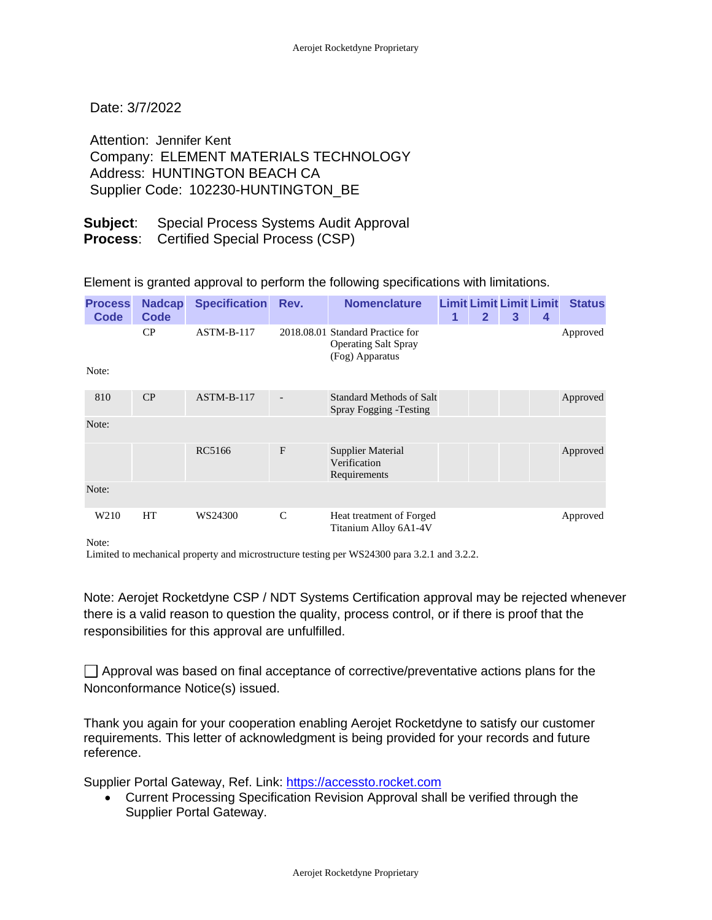Date: 3/7/2022

Attention: Jennifer Kent Company: ELEMENT MATERIALS TECHNOLOGY Address: HUNTINGTON BEACH CA Supplier Code: 102230-HUNTINGTON\_BE

## **Subject**: Special Process Systems Audit Approval **Process**: Certified Special Process (CSP)

Element is granted approval to perform the following specifications with limitations.

| <b>Process</b><br>Code | <b>Nadcap</b><br>Code | <b>Specification Rev.</b> |               | <b>Nomenclature</b>                                                                | 1 | $\mathbf{2}$ | 3 | <b>Limit Limit Limit Limit</b><br>4 | <b>Status</b> |
|------------------------|-----------------------|---------------------------|---------------|------------------------------------------------------------------------------------|---|--------------|---|-------------------------------------|---------------|
|                        | CP                    | $ASTM-B-117$              |               | 2018.08.01 Standard Practice for<br><b>Operating Salt Spray</b><br>(Fog) Apparatus |   |              |   |                                     | Approved      |
| Note:                  |                       |                           |               |                                                                                    |   |              |   |                                     |               |
| 810                    | CP                    | $ASTM-B-117$              |               | <b>Standard Methods of Salt</b><br>Spray Fogging - Testing                         |   |              |   |                                     | Approved      |
| Note:                  |                       |                           |               |                                                                                    |   |              |   |                                     |               |
|                        |                       | RC5166                    | $\mathbf{F}$  | <b>Supplier Material</b><br>Verification<br>Requirements                           |   |              |   |                                     | Approved      |
| Note:                  |                       |                           |               |                                                                                    |   |              |   |                                     |               |
| W <sub>210</sub>       | <b>HT</b>             | WS24300                   | $\mathcal{C}$ | Heat treatment of Forged<br>Titanium Alloy 6A1-4V                                  |   |              |   |                                     | Approved      |

Note:

Limited to mechanical property and microstructure testing per WS24300 para 3.2.1 and 3.2.2.

Note: Aerojet Rocketdyne CSP / NDT Systems Certification approval may be rejected whenever there is a valid reason to question the quality, process control, or if there is proof that the responsibilities for this approval are unfulfilled.

 $\Box$  Approval was based on final acceptance of corrective/preventative actions plans for the Nonconformance Notice(s) issued.

Thank you again for your cooperation enabling Aerojet Rocketdyne to satisfy our customer requirements. This letter of acknowledgment is being provided for your records and future reference.

Supplier Portal Gateway, Ref. Link: [https://accessto.rocket.com](https://accessto.rocket.com/)

• Current Processing Specification Revision Approval shall be verified through the Supplier Portal Gateway.